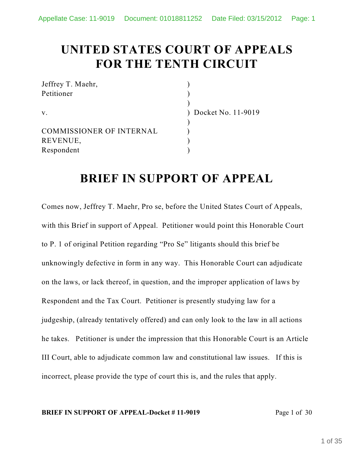# **UNITED STATES COURT OF APPEALS FOR THE TENTH CIRCUIT**

| Jeffrey T. Maehr,               |                      |
|---------------------------------|----------------------|
| Petitioner                      |                      |
|                                 |                      |
| $V_{\rm A}$                     | ) Docket No. 11-9019 |
|                                 |                      |
| <b>COMMISSIONER OF INTERNAL</b> |                      |
| REVENUE,                        |                      |
| Respondent                      |                      |

## **BRIEF IN SUPPORT OF APPEAL**

Comes now, Jeffrey T. Maehr, Pro se, before the United States Court of Appeals, with this Brief in support of Appeal. Petitioner would point this Honorable Court to P. 1 of original Petition regarding "Pro Se" litigants should this brief be unknowingly defective in form in any way. This Honorable Court can adjudicate on the laws, or lack thereof, in question, and the improper application of laws by Respondent and the Tax Court. Petitioner is presently studying law for a judgeship, (already tentatively offered) and can only look to the law in all actions he takes. Petitioner is under the impression that this Honorable Court is an Article III Court, able to adjudicate common law and constitutional law issues. If this is incorrect, please provide the type of court this is, and the rules that apply.

#### **BRIEF IN SUPPORT OF APPEAL-Docket #11-9019** Page 1 of 30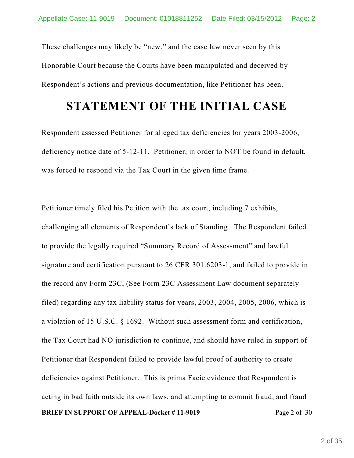These challenges may likely be "new," and the case law never seen by this Honorable Court because the Courts have been manipulated and deceived by Respondent's actions and previous documentation, like Petitioner has been.

### **STATEMENT OF THE INITIAL CASE**

Respondent assessed Petitioner for alleged tax deficiencies for years 2003-2006, deficiency notice date of 5-12-11. Petitioner, in order to NOT be found in default, was forced to respond via the Tax Court in the given time frame.

Petitioner timely filed his Petition with the tax court, including 7 exhibits, challenging all elements of Respondent's lack of Standing. The Respondent failed to provide the legally required "Summary Record of Assessment" and lawful signature and certification pursuant to 26 CFR 301.6203-1, and failed to provide in the record any Form 23C, (See Form 23C Assessment Law document separately filed) regarding any tax liability status for years, 2003, 2004, 2005, 2006, which is a violation of 15 U.S.C. § 1692. Without such assessment form and certification, the Tax Court had NO jurisdiction to continue, and should have ruled in support of Petitioner that Respondent failed to provide lawful proof of authority to create deficiencies against Petitioner. This is prima Facie evidence that Respondent is acting in bad faith outside its own laws, and attempting to commit fraud, and fraud **BRIEF IN SUPPORT OF APPEAL-Docket #11-9019** Page 2 of 30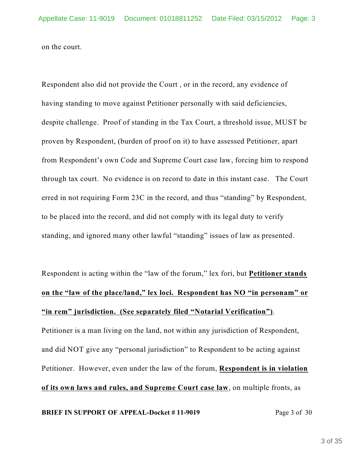on the court.

Respondent also did not provide the Court , or in the record, any evidence of having standing to move against Petitioner personally with said deficiencies, despite challenge. Proof of standing in the Tax Court, a threshold issue, MUST be proven by Respondent, (burden of proof on it) to have assessed Petitioner, apart from Respondent's own Code and Supreme Court case law, forcing him to respond through tax court. No evidence is on record to date in this instant case. The Court erred in not requiring Form 23C in the record, and thus "standing" by Respondent, to be placed into the record, and did not comply with its legal duty to verify standing, and ignored many other lawful "standing" issues of law as presented.

Respondent is acting within the "law of the forum," lex fori, but **Petitioner stands on the "law of the place/land," lex loci. Respondent has NO "in personam" or "in rem" jurisdiction. (See separately filed "Notarial Verification")**.

Petitioner is a man living on the land, not within any jurisdiction of Respondent, and did NOT give any "personal jurisdiction" to Respondent to be acting against Petitioner. However, even under the law of the forum, **Respondent is in violation of its own laws and rules, and Supreme Court case law**, on multiple fronts, as

**BRIEF IN SUPPORT OF APPEAL-Docket #11-9019** Page 3 of 30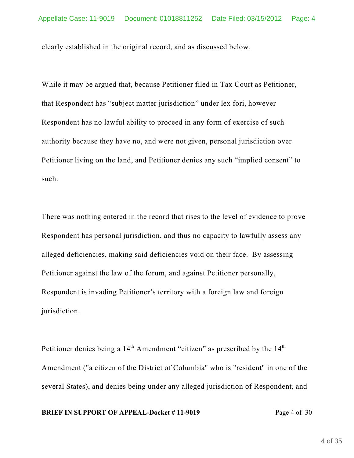clearly established in the original record, and as discussed below.

While it may be argued that, because Petitioner filed in Tax Court as Petitioner, that Respondent has "subject matter jurisdiction" under lex fori, however Respondent has no lawful ability to proceed in any form of exercise of such authority because they have no, and were not given, personal jurisdiction over Petitioner living on the land, and Petitioner denies any such "implied consent" to such.

There was nothing entered in the record that rises to the level of evidence to prove Respondent has personal jurisdiction, and thus no capacity to lawfully assess any alleged deficiencies, making said deficiencies void on their face. By assessing Petitioner against the law of the forum, and against Petitioner personally, Respondent is invading Petitioner's territory with a foreign law and foreign jurisdiction.

Petitioner denies being a  $14<sup>th</sup>$  Amendment "citizen" as prescribed by the  $14<sup>th</sup>$ Amendment ("a citizen of the District of Columbia" who is "resident" in one of the several States), and denies being under any alleged jurisdiction of Respondent, and

#### **BRIEF IN SUPPORT OF APPEAL-Docket #11-9019** Page 4 of 30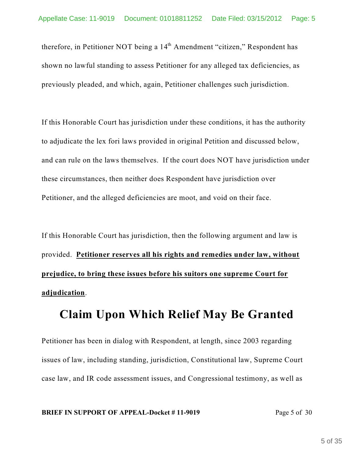therefore, in Petitioner NOT being a 14<sup>th</sup> Amendment "citizen," Respondent has shown no lawful standing to assess Petitioner for any alleged tax deficiencies, as previously pleaded, and which, again, Petitioner challenges such jurisdiction.

If this Honorable Court has jurisdiction under these conditions, it has the authority to adjudicate the lex fori laws provided in original Petition and discussed below, and can rule on the laws themselves. If the court does NOT have jurisdiction under these circumstances, then neither does Respondent have jurisdiction over Petitioner, and the alleged deficiencies are moot, and void on their face.

If this Honorable Court has jurisdiction, then the following argument and law is provided. **Petitioner reserves all his rights and remedies under law, without prejudice, to bring these issues before his suitors one supreme Court for adjudication**.

## **Claim Upon Which Relief May Be Granted**

Petitioner has been in dialog with Respondent, at length, since 2003 regarding issues of law, including standing, jurisdiction, Constitutional law, Supreme Court case law, and IR code assessment issues, and Congressional testimony, as well as

#### **BRIEF IN SUPPORT OF APPEAL-Docket #11-9019** Page 5 of 30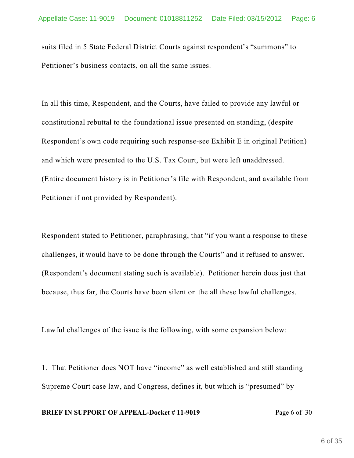suits filed in 5 State Federal District Courts against respondent's "summons" to Petitioner's business contacts, on all the same issues.

In all this time, Respondent, and the Courts, have failed to provide any lawful or constitutional rebuttal to the foundational issue presented on standing, (despite Respondent's own code requiring such response-see Exhibit E in original Petition) and which were presented to the U.S. Tax Court, but were left unaddressed. (Entire document history is in Petitioner's file with Respondent, and available from Petitioner if not provided by Respondent).

Respondent stated to Petitioner, paraphrasing, that "if you want a response to these challenges, it would have to be done through the Courts" and it refused to answer. (Respondent's document stating such is available). Petitioner herein does just that because, thus far, the Courts have been silent on the all these lawful challenges.

Lawful challenges of the issue is the following, with some expansion below:

1. That Petitioner does NOT have "income" as well established and still standing Supreme Court case law, and Congress, defines it, but which is "presumed" by

#### **BRIEF IN SUPPORT OF APPEAL-Docket #11-9019** Page 6 of 30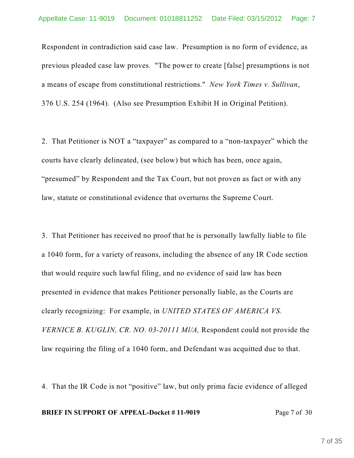Respondent in contradiction said case law. Presumption is no form of evidence, as previous pleaded case law proves. "The power to create [false] presumptions is not a means of escape from constitutional restrictions." *New York Times v. Sullivan*, 376 U.S. 254 (1964). (Also see Presumption Exhibit H in Original Petition).

2. That Petitioner is NOT a "taxpayer" as compared to a "non-taxpayer" which the courts have clearly delineated, (see below) but which has been, once again, "presumed" by Respondent and the Tax Court, but not proven as fact or with any law, statute or constitutional evidence that overturns the Supreme Court.

3. That Petitioner has received no proof that he is personally lawfully liable to file a 1040 form, for a variety of reasons, including the absence of any IR Code section that would require such lawful filing, and no evidence of said law has been presented in evidence that makes Petitioner personally liable, as the Courts are clearly recognizing: For example, in *UNITED STATES OF AMERICA VS. VERNICE B. KUGLIN, CR. NO. 03-20111 Ml/A,* Respondent could not provide the law requiring the filing of a 1040 form, and Defendant was acquitted due to that.

4. That the IR Code is not "positive" law, but only prima facie evidence of alleged

#### **BRIEF IN SUPPORT OF APPEAL-Docket #11-9019** Page 7 of 30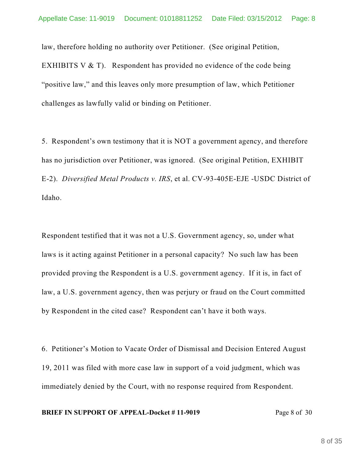law, therefore holding no authority over Petitioner. (See original Petition, EXHIBITS V  $&$  T). Respondent has provided no evidence of the code being "positive law," and this leaves only more presumption of law, which Petitioner challenges as lawfully valid or binding on Petitioner.

5. Respondent's own testimony that it is NOT a government agency, and therefore has no jurisdiction over Petitioner, was ignored. (See original Petition, EXHIBIT E-2). *Diversified Metal Products v. IRS*, et al. CV-93-405E-EJE -USDC District of Idaho.

Respondent testified that it was not a U.S. Government agency, so, under what laws is it acting against Petitioner in a personal capacity? No such law has been provided proving the Respondent is a U.S. government agency. If it is, in fact of law, a U.S. government agency, then was perjury or fraud on the Court committed by Respondent in the cited case? Respondent can't have it both ways.

6. Petitioner's Motion to Vacate Order of Dismissal and Decision Entered August 19, 2011 was filed with more case law in support of a void judgment, which was immediately denied by the Court, with no response required from Respondent.

#### **BRIEF IN SUPPORT OF APPEAL-Docket #11-9019** Page 8 of 30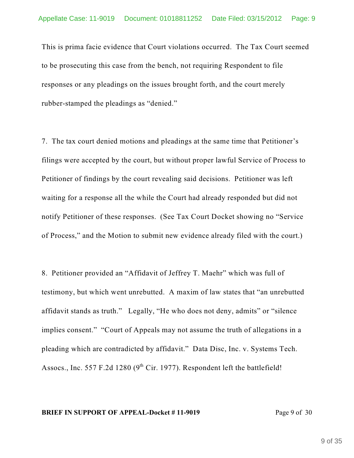This is prima facie evidence that Court violations occurred. The Tax Court seemed to be prosecuting this case from the bench, not requiring Respondent to file responses or any pleadings on the issues brought forth, and the court merely rubber-stamped the pleadings as "denied."

7. The tax court denied motions and pleadings at the same time that Petitioner's filings were accepted by the court, but without proper lawful Service of Process to Petitioner of findings by the court revealing said decisions. Petitioner was left waiting for a response all the while the Court had already responded but did not notify Petitioner of these responses. (See Tax Court Docket showing no "Service of Process," and the Motion to submit new evidence already filed with the court.)

8. Petitioner provided an "Affidavit of Jeffrey T. Maehr" which was full of testimony, but which went unrebutted. A maxim of law states that "an unrebutted affidavit stands as truth." Legally, "He who does not deny, admits" or "silence implies consent." "Court of Appeals may not assume the truth of allegations in a pleading which are contradicted by affidavit." Data Disc, Inc. v. Systems Tech. Assocs., Inc. 557 F.2d 1280 ( $9<sup>th</sup>$  Cir. 1977). Respondent left the battlefield!

#### **BRIEF IN SUPPORT OF APPEAL-Docket #11-9019** Page 9 of 30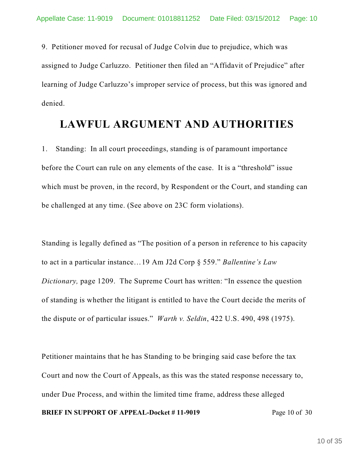9. Petitioner moved for recusal of Judge Colvin due to prejudice, which was assigned to Judge Carluzzo. Petitioner then filed an "Affidavit of Prejudice" after learning of Judge Carluzzo's improper service of process, but this was ignored and denied.

### **LAWFUL ARGUMENT AND AUTHORITIES**

1. Standing: In all court proceedings, standing is of paramount importance before the Court can rule on any elements of the case. It is a "threshold" issue which must be proven, in the record, by Respondent or the Court, and standing can be challenged at any time. (See above on 23C form violations).

Standing is legally defined as "The position of a person in reference to his capacity to act in a particular instance…19 Am J2d Corp § 559." *Ballentine's Law Dictionary,* page 1209. The Supreme Court has written: "In essence the question of standing is whether the litigant is entitled to have the Court decide the merits of the dispute or of particular issues." *Warth v. Seldin*, 422 U.S. 490, 498 (1975).

Petitioner maintains that he has Standing to be bringing said case before the tax Court and now the Court of Appeals, as this was the stated response necessary to, under Due Process, and within the limited time frame, address these alleged

**BRIEF IN SUPPORT OF APPEAL-Docket #11-9019** Page 10 of 30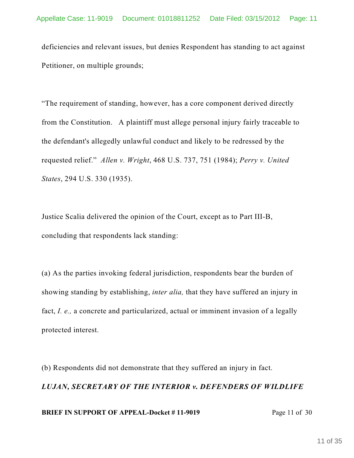deficiencies and relevant issues, but denies Respondent has standing to act against Petitioner, on multiple grounds;

"The requirement of standing, however, has a core component derived directly from the Constitution. A plaintiff must allege personal injury fairly traceable to the defendant's allegedly unlawful conduct and likely to be redressed by the requested relief." *Allen v. Wright*, 468 U.S. 737, 751 (1984); *Perry v. United States*, 294 U.S. 330 (1935).

Justice Scalia delivered the opinion of the Court, except as to Part III-B, concluding that respondents lack standing:

(a) As the parties invoking federal jurisdiction, respondents bear the burden of showing standing by establishing, *inter alia,* that they have suffered an injury in fact, *I. e.,* a concrete and particularized, actual or imminent invasion of a legally protected interest.

(b) Respondents did not demonstrate that they suffered an injury in fact. *LUJAN, SECRETARY OF THE INTERIOR v. DEFENDERS OF WILDLIFE* **BRIEF IN SUPPORT OF APPEAL-Docket #11-9019** Page 11 of 30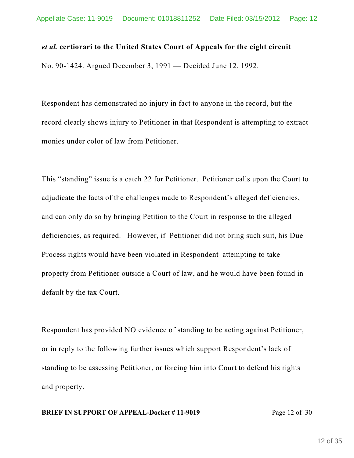#### *et al.* **certiorari to the United States Court of Appeals for the eight circuit**

No. 90-1424. Argued December 3, 1991 — Decided June 12, 1992.

Respondent has demonstrated no injury in fact to anyone in the record, but the record clearly shows injury to Petitioner in that Respondent is attempting to extract monies under color of law from Petitioner.

This "standing" issue is a catch 22 for Petitioner. Petitioner calls upon the Court to adjudicate the facts of the challenges made to Respondent's alleged deficiencies, and can only do so by bringing Petition to the Court in response to the alleged deficiencies, as required. However, if Petitioner did not bring such suit, his Due Process rights would have been violated in Respondent attempting to take property from Petitioner outside a Court of law, and he would have been found in default by the tax Court.

Respondent has provided NO evidence of standing to be acting against Petitioner, or in reply to the following further issues which support Respondent's lack of standing to be assessing Petitioner, or forcing him into Court to defend his rights and property.

#### **BRIEF IN SUPPORT OF APPEAL-Docket #11-9019** Page 12 of 30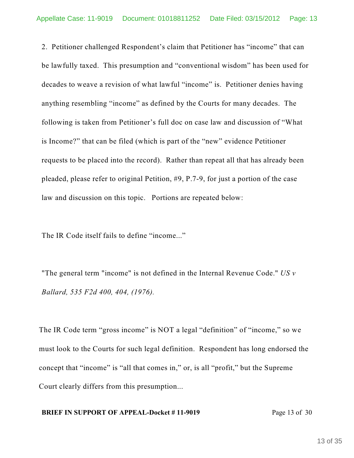2. Petitioner challenged Respondent's claim that Petitioner has "income" that can be lawfully taxed. This presumption and "conventional wisdom" has been used for decades to weave a revision of what lawful "income" is. Petitioner denies having anything resembling "income" as defined by the Courts for many decades. The following is taken from Petitioner's full doc on case law and discussion of "What is Income?" that can be filed (which is part of the "new" evidence Petitioner requests to be placed into the record). Rather than repeat all that has already been pleaded, please refer to original Petition, #9, P.7-9, for just a portion of the case law and discussion on this topic. Portions are repeated below:

The IR Code itself fails to define "income..."

"The general term "income" is not defined in the Internal Revenue Code." *US v Ballard, 535 F2d 400, 404, (1976).*

The IR Code term "gross income" is NOT a legal "definition" of "income," so we must look to the Courts for such legal definition. Respondent has long endorsed the concept that "income" is "all that comes in," or, is all "profit," but the Supreme Court clearly differs from this presumption...

#### **BRIEF IN SUPPORT OF APPEAL-Docket #11-9019** Page 13 of 30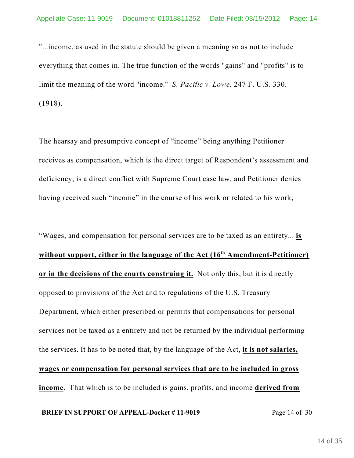"...income, as used in the statute should be given a meaning so as not to include everything that comes in. The true function of the words "gains" and "profits" is to limit the meaning of the word "income." *S. Pacific v. Lowe*, 247 F. U.S. 330. (1918).

The hearsay and presumptive concept of "income" being anything Petitioner receives as compensation, which is the direct target of Respondent's assessment and deficiency, is a direct conflict with Supreme Court case law, and Petitioner denies having received such "income" in the course of his work or related to his work;

"Wages, and compensation for personal services are to be taxed as an entirety... **is without support, either in the language of the Act (16 Amendment-Petitioner) th or in the decisions of the courts construing it.** Not only this, but it is directly opposed to provisions of the Act and to regulations of the U.S. Treasury Department, which either prescribed or permits that compensations for personal services not be taxed as a entirety and not be returned by the individual performing the services. It has to be noted that, by the language of the Act, **it is not salaries, wages or compensation for personal services that are to be included in gross income**. That which is to be included is gains, profits, and income **derived from**

#### **BRIEF IN SUPPORT OF APPEAL-Docket #11-9019** Page 14 of 30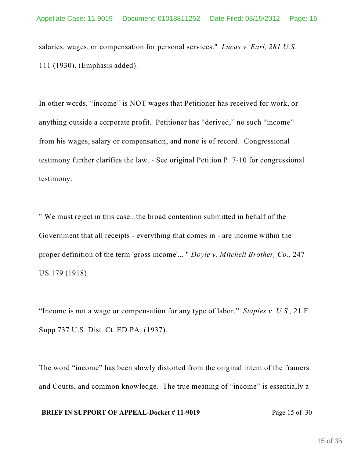salaries, wages, or compensation for personal services." *Lucas v. Earl, 281 U.S.* 111 (1930). (Emphasis added).

In other words, "income" is NOT wages that Petitioner has received for work, or anything outside a corporate profit. Petitioner has "derived," no such "income" from his wages, salary or compensation, and none is of record. Congressional testimony further clarifies the law. - See original Petition P. 7-10 for congressional testimony.

" We must reject in this case...the broad contention submitted in behalf of the Government that all receipts - everything that comes in - are income within the proper definition of the term 'gross income'... " *Doyle v. Mitchell Brother, Co.,* 247 US 179 (1918).

"Income is not a wage or compensation for any type of labor." *Staples v. U.S.,* 21 F Supp 737 U.S. Dist. Ct. ED PA, (1937).

The word "income" has been slowly distorted from the original intent of the framers and Courts, and common knowledge. The true meaning of "income" is essentially a

#### **BRIEF IN SUPPORT OF APPEAL-Docket #11-9019** Page 15 of 30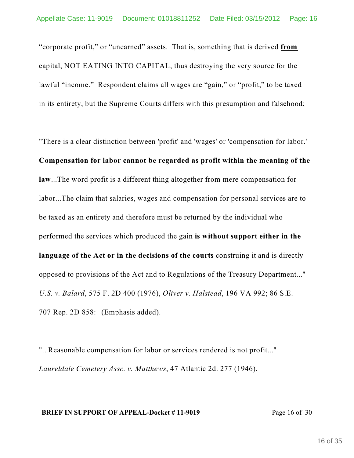"corporate profit," or "unearned" assets. That is, something that is derived **from** capital, NOT EATING INTO CAPITAL, thus destroying the very source for the lawful "income." Respondent claims all wages are "gain," or "profit," to be taxed in its entirety, but the Supreme Courts differs with this presumption and falsehood;

"There is a clear distinction between 'profit' and 'wages' or 'compensation for labor.' **Compensation for labor cannot be regarded as profit within the meaning of the law**...The word profit is a different thing altogether from mere compensation for labor...The claim that salaries, wages and compensation for personal services are to be taxed as an entirety and therefore must be returned by the individual who performed the services which produced the gain **is without support either in the language of the Act or in the decisions of the courts** construing it and is directly opposed to provisions of the Act and to Regulations of the Treasury Department..." *U.S. v. Balard*, 575 F. 2D 400 (1976), *Oliver v. Halstead*, 196 VA 992; 86 S.E. 707 Rep. 2D 858: (Emphasis added).

"...Reasonable compensation for labor or services rendered is not profit..." *Laureldale Cemetery Assc. v. Matthews*, 47 Atlantic 2d. 277 (1946).

#### **BRIEF IN SUPPORT OF APPEAL-Docket #11-9019** Page 16 of 30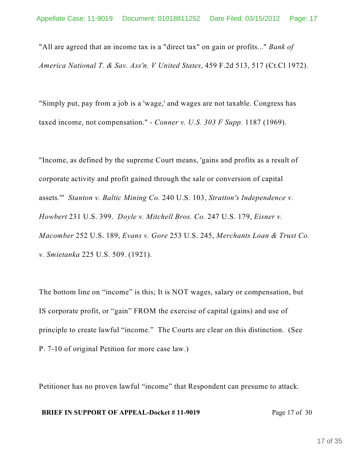"All are agreed that an income tax is a "direct tax" on gain or profits..." *Bank of America National T. & Sav. Ass'n. V United States*, 459 F.2d 513, 517 (Ct.Cl 1972).

"Simply put, pay from a job is a 'wage,' and wages are not taxable. Congress has taxed income, not compensation." - *Conner v. U.S. 303 F Supp.* 1187 (1969).

"Income, as defined by the supreme Court means, 'gains and profits as a result of corporate activity and profit gained through the sale or conversion of capital assets.'" *Stanton v. Baltic Mining Co.* 240 U.S. 103, *Stratton's Independence v. Howbert* 231 U.S. 399. *Doyle v. Mitchell Bros. Co.* 247 U.S. 179, *Eisner v. Macomber* 252 U.S. 189, *Evans v. Gore* 253 U.S. 245, *Merchants Loan & Trust Co. v. Smietanka* 225 U.S. 509. (1921).

The bottom line on "income" is this; It is NOT wages, salary or compensation, but IS corporate profit, or "gain" FROM the exercise of capital (gains) and use of principle to create lawful "income." The Courts are clear on this distinction. (See P. 7-10 of original Petition for more case law.)

Petitioner has no proven lawful "income" that Respondent can presume to attack.

#### **BRIEF IN SUPPORT OF APPEAL-Docket #11-9019** Page 17 of 30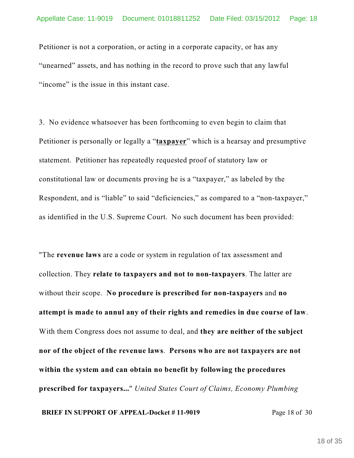Petitioner is not a corporation, or acting in a corporate capacity, or has any "unearned" assets, and has nothing in the record to prove such that any lawful "income" is the issue in this instant case.

3. No evidence whatsoever has been forthcoming to even begin to claim that Petitioner is personally or legally a "**taxpayer**" which is a hearsay and presumptive statement. Petitioner has repeatedly requested proof of statutory law or constitutional law or documents proving he is a "taxpayer," as labeled by the Respondent, and is "liable" to said "deficiencies," as compared to a "non-taxpayer," as identified in the U.S. Supreme Court. No such document has been provided:

"The **revenue laws** are a code or system in regulation of tax assessment and collection. They **relate to taxpayers and not to non-taxpayers**. The latter are without their scope. **No procedure is prescribed for non-taxpayers** and **no attempt is made to annul any of their rights and remedies in due course of law**. With them Congress does not assume to deal, and **they are neither of the subject nor of the object of the revenue laws**. **Persons who are not taxpayers are not within the system and can obtain no benefit by following the procedures prescribed for taxpayers...**" *United States Court of Claims, Economy Plumbing*

**BRIEF IN SUPPORT OF APPEAL-Docket #11-9019** Page 18 of 30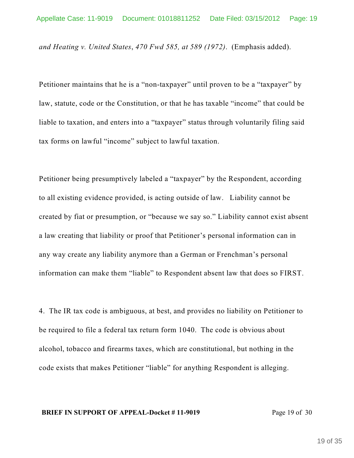*and Heating v. United States*, *470 Fwd 585, at 589 (1972)*. (Emphasis added).

Petitioner maintains that he is a "non-taxpayer" until proven to be a "taxpayer" by law, statute, code or the Constitution, or that he has taxable "income" that could be liable to taxation, and enters into a "taxpayer" status through voluntarily filing said tax forms on lawful "income" subject to lawful taxation.

Petitioner being presumptively labeled a "taxpayer" by the Respondent, according to all existing evidence provided, is acting outside of law. Liability cannot be created by fiat or presumption, or "because we say so." Liability cannot exist absent a law creating that liability or proof that Petitioner's personal information can in any way create any liability anymore than a German or Frenchman's personal information can make them "liable" to Respondent absent law that does so FIRST.

4. The IR tax code is ambiguous, at best, and provides no liability on Petitioner to be required to file a federal tax return form 1040. The code is obvious about alcohol, tobacco and firearms taxes, which are constitutional, but nothing in the code exists that makes Petitioner "liable" for anything Respondent is alleging.

#### **BRIEF IN SUPPORT OF APPEAL-Docket #11-9019** Page 19 of 30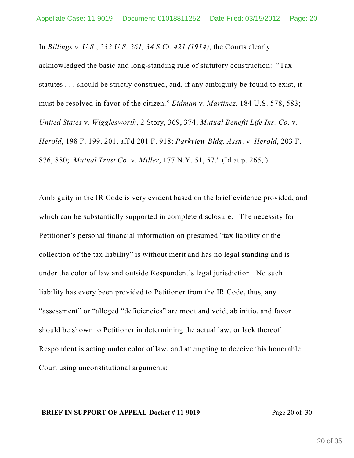In *Billings v. U.S.*, *232 U.S. 261, 34 S.Ct. 421 (1914)*, the Courts clearly acknowledged the basic and long-standing rule of statutory construction: "Tax statutes . . . should be strictly construed, and, if any ambiguity be found to exist, it must be resolved in favor of the citizen." *Eidman* v. *Martinez*, 184 U.S. 578, 583; *United States* v. *Wigglesworth*, 2 Story, 369, 374; *Mutual Benefit Life Ins. Co*. v. *Herold*, 198 F. 199, 201, aff'd 201 F. 918; *Parkview Bldg. Assn*. v. *Herold*, 203 F. 876, 880; *Mutual Trust Co*. v. *Miller*, 177 N.Y. 51, 57." (Id at p. 265, ).

Ambiguity in the IR Code is very evident based on the brief evidence provided, and which can be substantially supported in complete disclosure. The necessity for Petitioner's personal financial information on presumed "tax liability or the collection of the tax liability" is without merit and has no legal standing and is under the color of law and outside Respondent's legal jurisdiction. No such liability has every been provided to Petitioner from the IR Code, thus, any "assessment" or "alleged "deficiencies" are moot and void, ab initio, and favor should be shown to Petitioner in determining the actual law, or lack thereof. Respondent is acting under color of law, and attempting to deceive this honorable Court using unconstitutional arguments;

#### **BRIEF IN SUPPORT OF APPEAL-Docket #11-9019** Page 20 of 30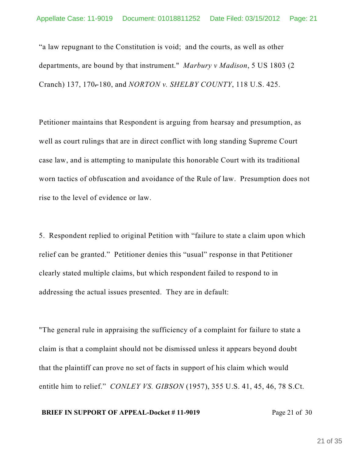"a law repugnant to the Constitution is void; and the courts, as well as other departments, are bound by that instrument." *Marbury v Madison*, 5 US 1803 (2 Cranch) 137, 170-180, and *NORTON v. SHELBY COUNTY*, 118 U.S. 425.

Petitioner maintains that Respondent is arguing from hearsay and presumption, as well as court rulings that are in direct conflict with long standing Supreme Court case law, and is attempting to manipulate this honorable Court with its traditional worn tactics of obfuscation and avoidance of the Rule of law. Presumption does not rise to the level of evidence or law.

5. Respondent replied to original Petition with "failure to state a claim upon which relief can be granted." Petitioner denies this "usual" response in that Petitioner clearly stated multiple claims, but which respondent failed to respond to in addressing the actual issues presented. They are in default:

"The general rule in appraising the sufficiency of a complaint for failure to state a claim is that a complaint should not be dismissed unless it appears beyond doubt that the plaintiff can prove no set of facts in support of his claim which would entitle him to relief." *CONLEY VS. GIBSON* (1957), 355 U.S. 41, 45, 46, 78 S.Ct.

#### **BRIEF IN SUPPORT OF APPEAL-Docket #11-9019** Page 21 of 30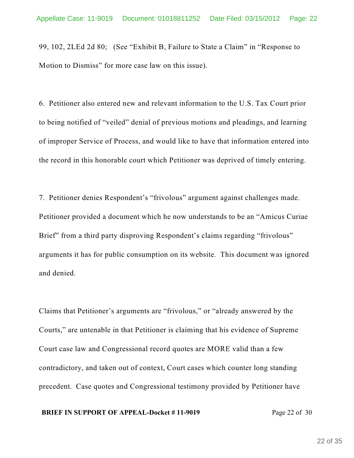99, 102, 2LEd 2d 80; (See "Exhibit B, Failure to State a Claim" in "Response to Motion to Dismiss" for more case law on this issue).

6. Petitioner also entered new and relevant information to the U.S. Tax Court prior to being notified of "veiled" denial of previous motions and pleadings, and learning of improper Service of Process, and would like to have that information entered into the record in this honorable court which Petitioner was deprived of timely entering.

7. Petitioner denies Respondent's "frivolous" argument against challenges made. Petitioner provided a document which he now understands to be an "Amicus Curiae Brief" from a third party disproving Respondent's claims regarding "frivolous" arguments it has for public consumption on its website. This document was ignored and denied.

Claims that Petitioner's arguments are "frivolous," or "already answered by the Courts," are untenable in that Petitioner is claiming that his evidence of Supreme Court case law and Congressional record quotes are MORE valid than a few contradictory, and taken out of context, Court cases which counter long standing precedent. Case quotes and Congressional testimony provided by Petitioner have

#### **BRIEF IN SUPPORT OF APPEAL-Docket #11-9019** Page 22 of 30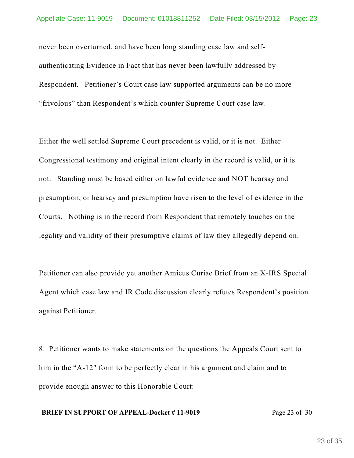never been overturned, and have been long standing case law and selfauthenticating Evidence in Fact that has never been lawfully addressed by Respondent. Petitioner's Court case law supported arguments can be no more "frivolous" than Respondent's which counter Supreme Court case law.

Either the well settled Supreme Court precedent is valid, or it is not. Either Congressional testimony and original intent clearly in the record is valid, or it is not. Standing must be based either on lawful evidence and NOT hearsay and presumption, or hearsay and presumption have risen to the level of evidence in the Courts. Nothing is in the record from Respondent that remotely touches on the legality and validity of their presumptive claims of law they allegedly depend on.

Petitioner can also provide yet another Amicus Curiae Brief from an X-IRS Special Agent which case law and IR Code discussion clearly refutes Respondent's position against Petitioner.

8. Petitioner wants to make statements on the questions the Appeals Court sent to him in the "A-12" form to be perfectly clear in his argument and claim and to provide enough answer to this Honorable Court:

#### **BRIEF IN SUPPORT OF APPEAL-Docket #11-9019** Page 23 of 30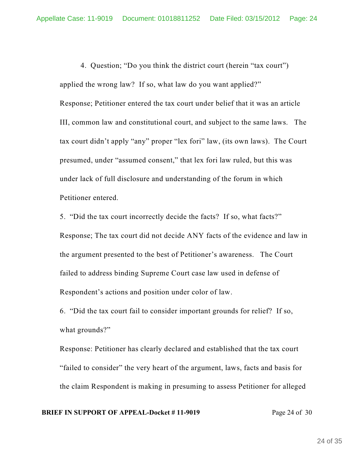4. Question; "Do you think the district court (herein "tax court") applied the wrong law? If so, what law do you want applied?" Response; Petitioner entered the tax court under belief that it was an article III, common law and constitutional court, and subject to the same laws. The tax court didn't apply "any" proper "lex fori" law, (its own laws). The Court presumed, under "assumed consent," that lex fori law ruled, but this was under lack of full disclosure and understanding of the forum in which

Petitioner entered.

5. "Did the tax court incorrectly decide the facts? If so, what facts?" Response; The tax court did not decide ANY facts of the evidence and law in the argument presented to the best of Petitioner's awareness. The Court failed to address binding Supreme Court case law used in defense of Respondent's actions and position under color of law.

6. "Did the tax court fail to consider important grounds for relief? If so, what grounds?"

Response: Petitioner has clearly declared and established that the tax court "failed to consider" the very heart of the argument, laws, facts and basis for the claim Respondent is making in presuming to assess Petitioner for alleged

#### **BRIEF IN SUPPORT OF APPEAL-Docket #11-9019** Page 24 of 30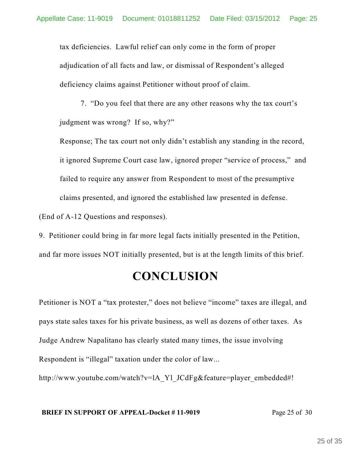tax deficiencies. Lawful relief can only come in the form of proper adjudication of all facts and law, or dismissal of Respondent's alleged deficiency claims against Petitioner without proof of claim.

7. "Do you feel that there are any other reasons why the tax court's judgment was wrong? If so, why?"

Response; The tax court not only didn't establish any standing in the record, it ignored Supreme Court case law, ignored proper "service of process," and failed to require any answer from Respondent to most of the presumptive claims presented, and ignored the established law presented in defense.

(End of A-12 Questions and responses).

9. Petitioner could bring in far more legal facts initially presented in the Petition, and far more issues NOT initially presented, but is at the length limits of this brief.

# **CONCLUSION**

Petitioner is NOT a "tax protester," does not believe "income" taxes are illegal, and pays state sales taxes for his private business, as well as dozens of other taxes. As Judge Andrew Napalitano has clearly stated many times, the issue involving Respondent is "illegal" taxation under the color of law...

http://www.youtube.com/watch?v=lA\_Yl\_JCdFg&feature=player\_embedded#!

#### **BRIEF IN SUPPORT OF APPEAL-Docket #11-9019** Page 25 of 30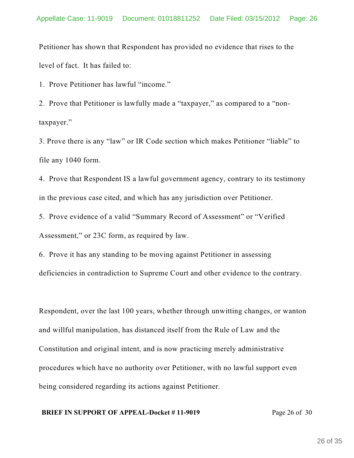Petitioner has shown that Respondent has provided no evidence that rises to the level of fact. It has failed to:

1. Prove Petitioner has lawful "income."

2. Prove that Petitioner is lawfully made a "taxpayer," as compared to a "nontaxpayer."

3. Prove there is any "law" or IR Code section which makes Petitioner "liable" to file any 1040 form.

4. Prove that Respondent IS a lawful government agency, contrary to its testimony in the previous case cited, and which has any jurisdiction over Petitioner.

5. Prove evidence of a valid "Summary Record of Assessment" or "Verified Assessment," or 23C form, as required by law.

6. Prove it has any standing to be moving against Petitioner in assessing deficiencies in contradiction to Supreme Court and other evidence to the contrary.

Respondent, over the last 100 years, whether through unwitting changes, or wanton and willful manipulation, has distanced itself from the Rule of Law and the Constitution and original intent, and is now practicing merely administrative procedures which have no authority over Petitioner, with no lawful support even being considered regarding its actions against Petitioner.

#### **BRIEF IN SUPPORT OF APPEAL-Docket #11-9019** Page 26 of 30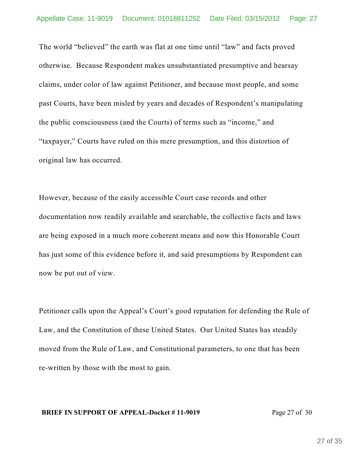The world "believed" the earth was flat at one time until "law" and facts proved otherwise. Because Respondent makes unsubstantiated presumptive and hearsay claims, under color of law against Petitioner, and because most people, and some past Courts, have been misled by years and decades of Respondent's manipulating the public consciousness (and the Courts) of terms such as "income," and "taxpayer," Courts have ruled on this mere presumption, and this distortion of original law has occurred.

However, because of the easily accessible Court case records and other documentation now readily available and searchable, the collective facts and laws are being exposed in a much more coherent means and now this Honorable Court has just some of this evidence before it, and said presumptions by Respondent can now be put out of view.

Petitioner calls upon the Appeal's Court's good reputation for defending the Rule of Law, and the Constitution of these United States. Our United States has steadily moved from the Rule of Law, and Constitutional parameters, to one that has been re-written by those with the most to gain.

#### **BRIEF IN SUPPORT OF APPEAL-Docket #11-9019** Page 27 of 30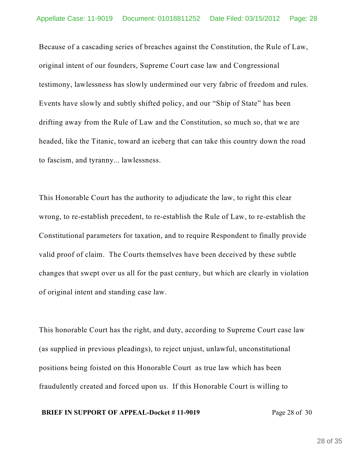Because of a cascading series of breaches against the Constitution, the Rule of Law, original intent of our founders, Supreme Court case law and Congressional testimony, lawlessness has slowly undermined our very fabric of freedom and rules. Events have slowly and subtly shifted policy, and our "Ship of State" has been drifting away from the Rule of Law and the Constitution, so much so, that we are headed, like the Titanic, toward an iceberg that can take this country down the road to fascism, and tyranny... lawlessness.

This Honorable Court has the authority to adjudicate the law, to right this clear wrong, to re-establish precedent, to re-establish the Rule of Law, to re-establish the Constitutional parameters for taxation, and to require Respondent to finally provide valid proof of claim. The Courts themselves have been deceived by these subtle changes that swept over us all for the past century, but which are clearly in violation of original intent and standing case law.

This honorable Court has the right, and duty, according to Supreme Court case law (as supplied in previous pleadings), to reject unjust, unlawful, unconstitutional positions being foisted on this Honorable Court as true law which has been fraudulently created and forced upon us. If this Honorable Court is willing to

#### **BRIEF IN SUPPORT OF APPEAL-Docket #11-9019** Page 28 of 30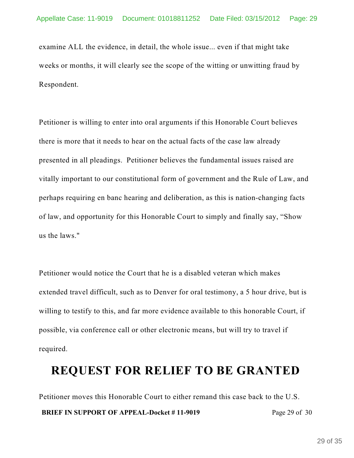examine ALL the evidence, in detail, the whole issue... even if that might take weeks or months, it will clearly see the scope of the witting or unwitting fraud by Respondent.

Petitioner is willing to enter into oral arguments if this Honorable Court believes there is more that it needs to hear on the actual facts of the case law already presented in all pleadings. Petitioner believes the fundamental issues raised are vitally important to our constitutional form of government and the Rule of Law, and perhaps requiring en banc hearing and deliberation, as this is nation-changing facts of law, and opportunity for this Honorable Court to simply and finally say, "Show us the laws."

Petitioner would notice the Court that he is a disabled veteran which makes extended travel difficult, such as to Denver for oral testimony, a 5 hour drive, but is willing to testify to this, and far more evidence available to this honorable Court, if possible, via conference call or other electronic means, but will try to travel if required.

## **REQUEST FOR RELIEF TO BE GRANTED**

Petitioner moves this Honorable Court to either remand this case back to the U.S. **BRIEF IN SUPPORT OF APPEAL-Docket #11-9019** Page 29 of 30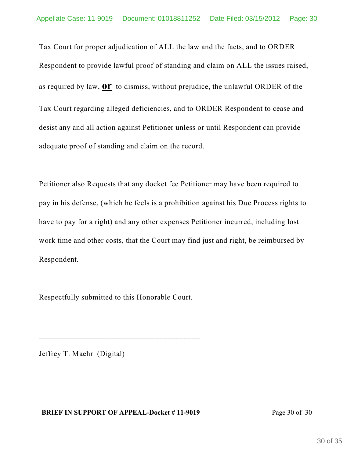Tax Court for proper adjudication of ALL the law and the facts, and to ORDER Respondent to provide lawful proof of standing and claim on ALL the issues raised, as required by law, **or** to dismiss, without prejudice, the unlawful ORDER of the Tax Court regarding alleged deficiencies, and to ORDER Respondent to cease and desist any and all action against Petitioner unless or until Respondent can provide adequate proof of standing and claim on the record.

Petitioner also Requests that any docket fee Petitioner may have been required to pay in his defense, (which he feels is a prohibition against his Due Process rights to have to pay for a right) and any other expenses Petitioner incurred, including lost work time and other costs, that the Court may find just and right, be reimbursed by Respondent.

Respectfully submitted to this Honorable Court.

\_\_\_\_\_\_\_\_\_\_\_\_\_\_\_\_\_\_\_\_\_\_\_\_\_\_\_\_\_\_\_\_\_\_\_\_\_\_\_\_

Jeffrey T. Maehr (Digital)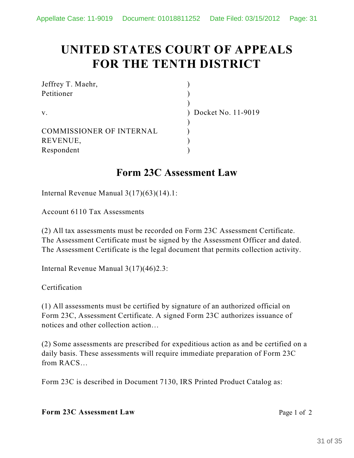# **UNITED STATES COURT OF APPEALS FOR THE TENTH DISTRICT**

| Jeffrey T. Maehr,               |                      |
|---------------------------------|----------------------|
| Petitioner                      |                      |
|                                 |                      |
| $V_{\rm A}$                     | ) Docket No. 11-9019 |
|                                 |                      |
| <b>COMMISSIONER OF INTERNAL</b> |                      |
| REVENUE,                        |                      |
| Respondent                      |                      |

### **Form 23C Assessment Law**

Internal Revenue Manual 3(17)(63)(14).1:

Account 6110 Tax Assessments

(2) All tax assessments must be recorded on Form 23C Assessment Certificate. The Assessment Certificate must be signed by the Assessment Officer and dated. The Assessment Certificate is the legal document that permits collection activity.

Internal Revenue Manual 3(17)(46)2.3:

Certification

(1) All assessments must be certified by signature of an authorized official on Form 23C, Assessment Certificate. A signed Form 23C authorizes issuance of notices and other collection action…

(2) Some assessments are prescribed for expeditious action as and be certified on a daily basis. These assessments will require immediate preparation of Form 23C from RACS…

Form 23C is described in Document 7130, IRS Printed Product Catalog as: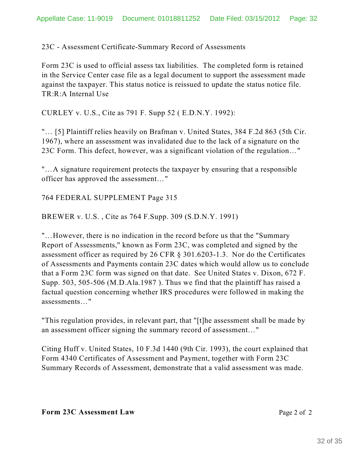23C - Assessment Certificate-Summary Record of Assessments

Form 23C is used to official assess tax liabilities. The completed form is retained in the Service Center case file as a legal document to support the assessment made against the taxpayer. This status notice is reissued to update the status notice file. TR:R:A Internal Use

CURLEY v. U.S., Cite as 791 F. Supp 52 ( E.D.N.Y. 1992):

"… [5] Plaintiff relies heavily on Brafman v. United States, 384 F.2d 863 (5th Cir. 1967), where an assessment was invalidated due to the lack of a signature on the 23C Form. This defect, however, was a significant violation of the regulation…"

"…A signature requirement protects the taxpayer by ensuring that a responsible officer has approved the assessment…"

764 FEDERAL SUPPLEMENT Page 315

BREWER v. U.S. , Cite as 764 F.Supp. 309 (S.D.N.Y. 1991)

"…However, there is no indication in the record before us that the "Summary Report of Assessments," known as Form 23C, was completed and signed by the assessment officer as required by 26 CFR § 301.6203-1.3. Nor do the Certificates of Assessments and Payments contain 23C dates which would allow us to conclude that a Form 23C form was signed on that date. See United States v. Dixon, 672 F. Supp. 503, 505-506 (M.D.Ala.1987 ). Thus we find that the plaintiff has raised a factual question concerning whether IRS procedures were followed in making the assessments…"

"This regulation provides, in relevant part, that "[t]he assessment shall be made by an assessment officer signing the summary record of assessment…"

Citing Huff v. United States, 10 F.3d 1440 (9th Cir. 1993), the court explained that Form 4340 Certificates of Assessment and Payment, together with Form 23C Summary Records of Assessment, demonstrate that a valid assessment was made.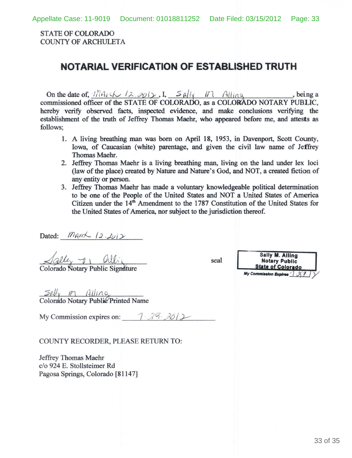STATE OF COLORADO COUNTY OF ARCHULETA

### **NOTARIAL VERIFICATION OF ESTABLISHED TRUTH**

On the date of,  $\ln 12.801$ ,  $I_1$ ,  $S_{\mathcal{A}}/V_1$ ,  $\ln 111/109$ , being a commissioned officer of the STATE OF COLORADO, as a COLORADO NOTARY PUBLIC, hereby verify observed facts, inspected evidence, and make conclusions verifying the establishment of the truth of Jeffrey Thomas Maehr, who appeared before me, and attests as follows;

- 1. A living breathing man was born on April 18, 1953, in Davenport, Scott County, Iowa, of Caucasian (white) parentage, and given the civil law name of Jeffrey Thomas Maehr.
- 2. Jeffrey Thomas Maehr is a living breathing man, living on the land under lex loci (law of the place) created by Nature and Nature's God, and NOT, a created fiction of any entity or person.
- 3. Jeffrey Thomas Maehr has made a voluntary knowledgeable political determination to be one of the People of the United States and NOT a United States of America Citizen under the  $14<sup>th</sup>$  Amendment to the 1787 Constitution of the United States for the United States of America, nor subject to the jurisdiction thereof.

Dated: *MArch 12.2012*<br>
<u>Agley 7, Olligned</u><br>
Colorado Notary Public Signature

seal

Sally **M.** Alllng **Notary Public<br>State of Colorado** My Commission Expires 7 27

 $\frac{\text{SN}}{\text{Colorado Notary Public} \text{Printed Name}}$ 

My Commission expires on:  $\begin{array}{cc} \uparrow \\ \downarrow \end{array}$   $\begin{array}{cc} \uparrow \\ \downarrow \end{array}$ 

#### COUNTY RECORDER PLEASE RETURN TO:

Jeffrey Thomas Maehr c/o 924 E. Stollsteimer Rd Pagosa Springs, Colorado [81147]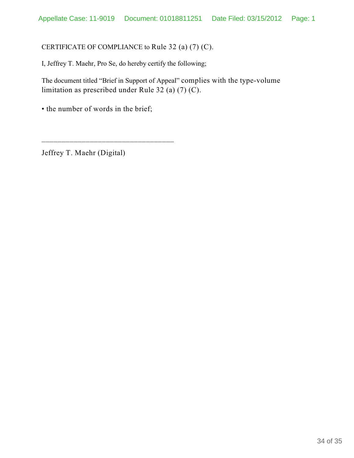#### CERTIFICATE OF COMPLIANCE to Rule 32 (a) (7) (C).

I, Jeffrey T. Maehr, Pro Se, do hereby certify the following;

The document titled "Brief in Support of Appeal" complies with the type-volume limitation as prescribed under Rule 32 (a) (7) (C).

• the number of words in the brief;

\_\_\_\_\_\_\_\_\_\_\_\_\_\_\_\_\_\_\_\_\_\_\_\_\_\_\_\_\_\_\_\_\_

Jeffrey T. Maehr (Digital)